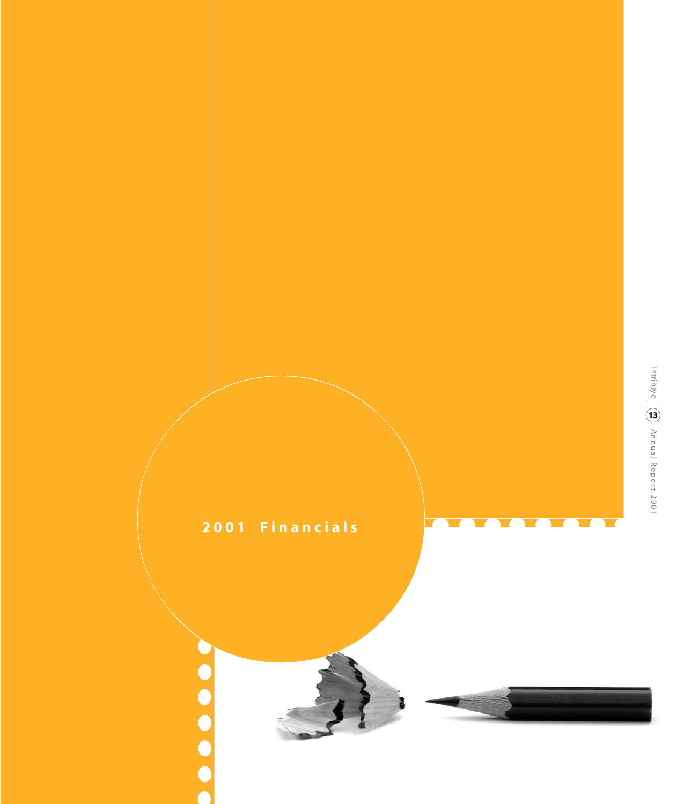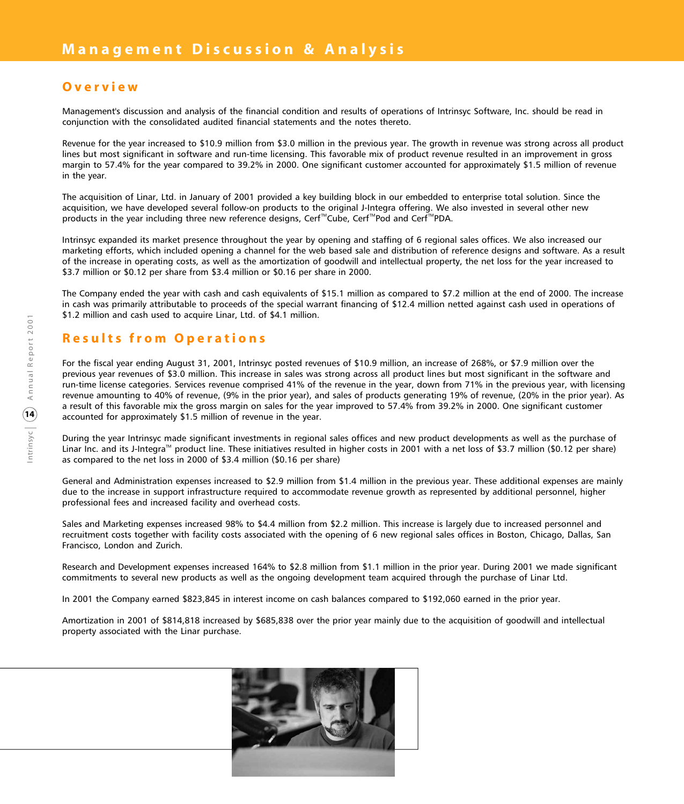# **Overvie w**

Management's discussion and analysis of the financial condition and results of operations of Intrinsyc Software, Inc. should be read in conjunction with the consolidated audited financial statements and the notes thereto.

Revenue for the year increased to \$10.9 million from \$3.0 million in the previous year. The growth in revenue was strong across all product lines but most significant in software and run-time licensing. This favorable mix of product revenue resulted in an improvement in gross margin to 57.4% for the year compared to 39.2% in 2000. One significant customer accounted for approximately \$1.5 million of revenue in the year.

The acquisition of Linar, Ltd. in January of 2001 provided a key building block in our embedded to enterprise total solution. Since the acquisition, we have developed several follow-on products to the original J-Integra offering. We also invested in several other new products in the year including three new reference designs, Cerf™Cube, Cerf™Pod and Cerf™PDA.

Intrinsyc expanded its market presence throughout the year by opening and staffing of 6 regional sales offices. We also increased our marketing efforts, which included opening a channel for the web based sale and distribution of reference designs and software. As a result of the increase in operating costs, as well as the amortization of goodwill and intellectual property, the net loss for the year increased to \$3.7 million or \$0.12 per share from \$3.4 million or \$0.16 per share in 2000.

The Company ended the year with cash and cash equivalents of \$15.1 million as compared to \$7.2 million at the end of 2000. The increase in cash was primarily attributable to proceeds of the special warrant financing of \$12.4 million netted against cash used in operations of \$1.2 million and cash used to acquire Linar, Ltd. of \$4.1 million.

# **Results from Operation s**

For the fiscal year ending August 31, 2001, Intrinsyc posted revenues of \$10.9 million, an increase of 268%, or \$7.9 million over the previous year revenues of \$3.0 million. This increase in sales was strong across all product lines but most significant in the software and run-time license categories. Services revenue comprised 41% of the revenue in the year, down from 71% in the previous year, with licensing revenue amounting to 40% of revenue, (9% in the prior year), and sales of products generating 19% of revenue, (20% in the prior year). As a result of this favorable mix the gross margin on sales for the year improved to 57.4% from 39.2% in 2000. One significant customer accounted for approximately \$1.5 million of revenue in the year.

During the year Intrinsyc made significant investments in regional sales offices and new product developments as well as the purchase of Linar Inc. and its J-Integra<sup>™</sup> product line. These initiatives resulted in higher costs in 2001 with a net loss of \$3.7 million (\$0.12 per share) as compared to the net loss in 2000 of \$3.4 million (\$0.16 per share)

General and Administration expenses increased to \$2.9 million from \$1.4 million in the previous year. These additional expenses are mainly due to the increase in support infrastructure required to accommodate revenue growth as represented by additional personnel, higher professional fees and increased facility and overhead costs.

Sales and Marketing expenses increased 98% to \$4.4 million from \$2.2 million. This increase is largely due to increased personnel and recruitment costs together with facility costs associated with the opening of 6 new regional sales offices in Boston, Chicago, Dallas, San Francisco, London and Zurich.

Research and Development expenses increased 164% to \$2.8 million from \$1.1 million in the prior year. During 2001 we made significant commitments to several new products as well as the ongoing development team acquired through the purchase of Linar Ltd.

In 2001 the Company earned \$823,845 in interest income on cash balances compared to \$192,060 earned in the prior year.

Amortization in 2001 of \$814,818 increased by \$685,838 over the prior year mainly due to the acquisition of goodwill and intellectual property associated with the Linar purchase.

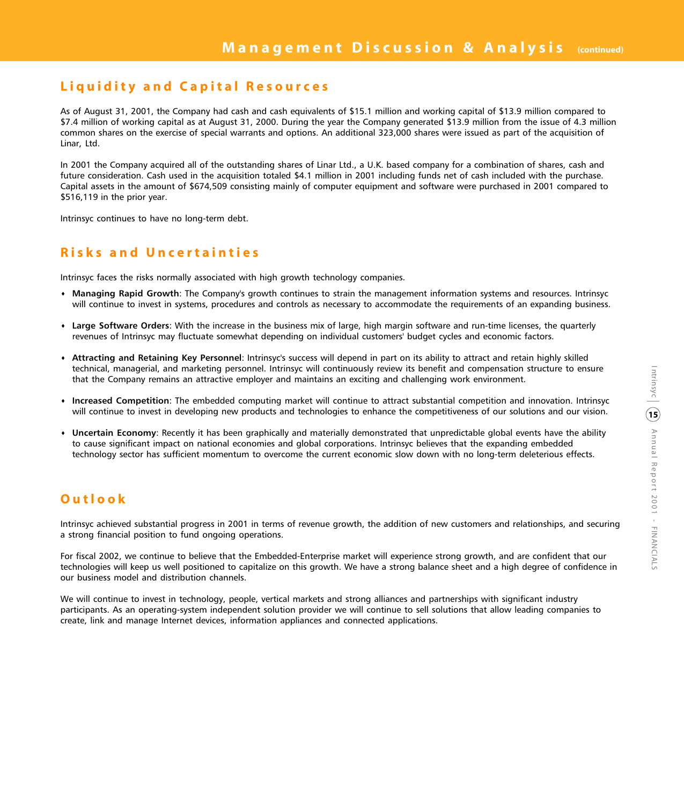# **Liquidity and Capital Resources**

As of August 31, 2001, the Company had cash and cash equivalents of \$15.1 million and working capital of \$13.9 million compared to \$7.4 million of working capital as at August 31, 2000. During the year the Company generated \$13.9 million from the issue of 4.3 million common shares on the exercise of special warrants and options. An additional 323,000 shares were issued as part of the acquisition of Linar, Ltd.

In 2001 the Company acquired all of the outstanding shares of Linar Ltd., a U.K. based company for a combination of shares, cash and future consideration. Cash used in the acquisition totaled \$4.1 million in 2001 including funds net of cash included with the purchase. Capital assets in the amount of \$674,509 consisting mainly of computer equipment and software were purchased in 2001 compared to \$516,119 in the prior year.

Intrinsyc continues to have no long-term debt.

# **Risks and Uncertaintie s**

Intrinsyc faces the risks normally associated with high growth technology companies.

- **s Managing Rapid Growth**: The Company's growth continues to strain the management information systems and resources. Intrinsyc will continue to invest in systems, procedures and controls as necessary to accommodate the requirements of an expanding business.
- **s Large Software Orders**: With the increase in the business mix of large, high margin software and run-time licenses, the quarterly revenues of Intrinsyc may fluctuate somewhat depending on individual customers' budget cycles and economic factors.
- **s Attracting and Retaining Key Personnel**: Intrinsyc's success will depend in part on its ability to attract and retain highly skilled technical, managerial, and marketing personnel. Intrinsyc will continuously review its benefit and compensation structure to ensure that the Company remains an attractive employer and maintains an exciting and challenging work environment.
- **s Increased Competition**: The embedded computing market will continue to attract substantial competition and innovation. Intrinsyc will continue to invest in developing new products and technologies to enhance the competitiveness of our solutions and our vision.
- **s Uncertain Economy**: Recently it has been graphically and materially demonstrated that unpredictable global events have the ability to cause significant impact on national economies and global corporations. Intrinsyc believes that the expanding embedded technology sector has sufficient momentum to overcome the current economic slow down with no long-term deleterious effects.

# **Outloo k**

Intrinsyc achieved substantial progress in 2001 in terms of revenue growth, the addition of new customers and relationships, and securing a strong financial position to fund ongoing operations.

For fiscal 2002, we continue to believe that the Embedded-Enterprise market will experience strong growth, and are confident that our technologies will keep us well positioned to capitalize on this growth. We have a strong balance sheet and a high degree of confidence in our business model and distribution channels.

We will continue to invest in technology, people, vertical markets and strong alliances and partnerships with significant industry participants. As an operating-system independent solution provider we will continue to sell solutions that allow leading companies to create, link and manage Internet devices, information appliances and connected applications.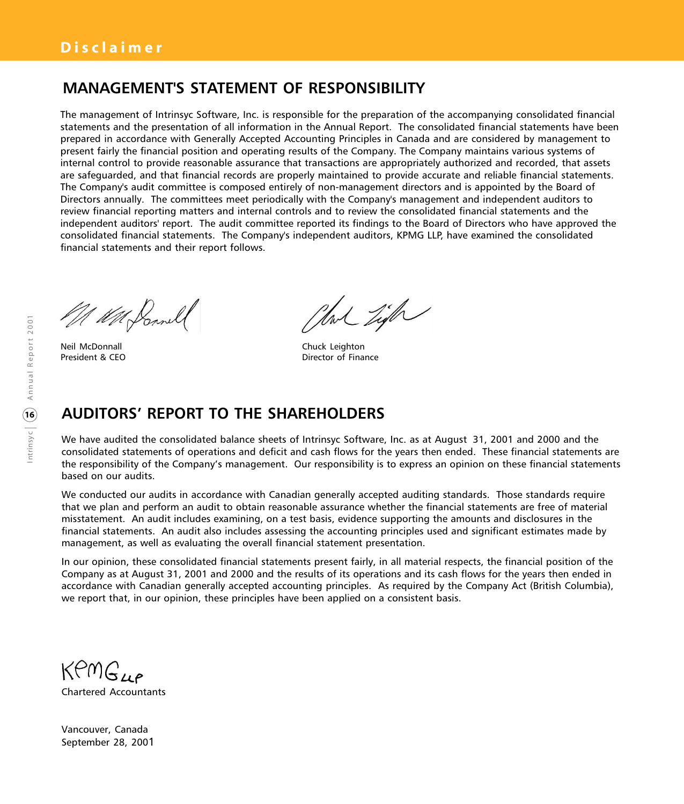# **MANAGEMENT'S STATEMENT OF RESPONSIBILITY**

The management of Intrinsyc Software, Inc. is responsible for the preparation of the accompanying consolidated financial statements and the presentation of all information in the Annual Report. The consolidated financial statements have been prepared in accordance with Generally Accepted Accounting Principles in Canada and are considered by management to present fairly the financial position and operating results of the Company. The Company maintains various systems of internal control to provide reasonable assurance that transactions are appropriately authorized and recorded, that assets are safeguarded, and that financial records are properly maintained to provide accurate and reliable financial statements. The Company's audit committee is composed entirely of non-management directors and is appointed by the Board of Directors annually. The committees meet periodically with the Company's management and independent auditors to review financial reporting matters and internal controls and to review the consolidated financial statements and the independent auditors' report. The audit committee reported its findings to the Board of Directors who have approved the consolidated financial statements. The Company's independent auditors, KPMG LLP, have examined the consolidated financial statements and their report follows.

M WM Sonall

Neil McDonnall **Chuck Leighton** 

that Light

President & CEO **Director of Finance** 

# **AUDITORS' REPORT TO THE SHAREHOLDERS**

We have audited the consolidated balance sheets of Intrinsyc Software, Inc. as at August 31, 2001 and 2000 and the consolidated statements of operations and deficit and cash flows for the years then ended. These financial statements are the responsibility of the Company's management. Our responsibility is to express an opinion on these financial statements based on our audits.

We conducted our audits in accordance with Canadian generally accepted auditing standards. Those standards require that we plan and perform an audit to obtain reasonable assurance whether the financial statements are free of material misstatement. An audit includes examining, on a test basis, evidence supporting the amounts and disclosures in the financial statements. An audit also includes assessing the accounting principles used and significant estimates made by management, as well as evaluating the overall financial statement presentation.

In our opinion, these consolidated financial statements present fairly, in all material respects, the financial position of the Company as at August 31, 2001 and 2000 and the results of its operations and its cash flows for the years then ended in accordance with Canadian generally accepted accounting principles. As required by the Company Act (British Columbia), we report that, in our opinion, these principles have been applied on a consistent basis.

KPMGue Chartered Accountants

Vancouver, Canada September 28, 2001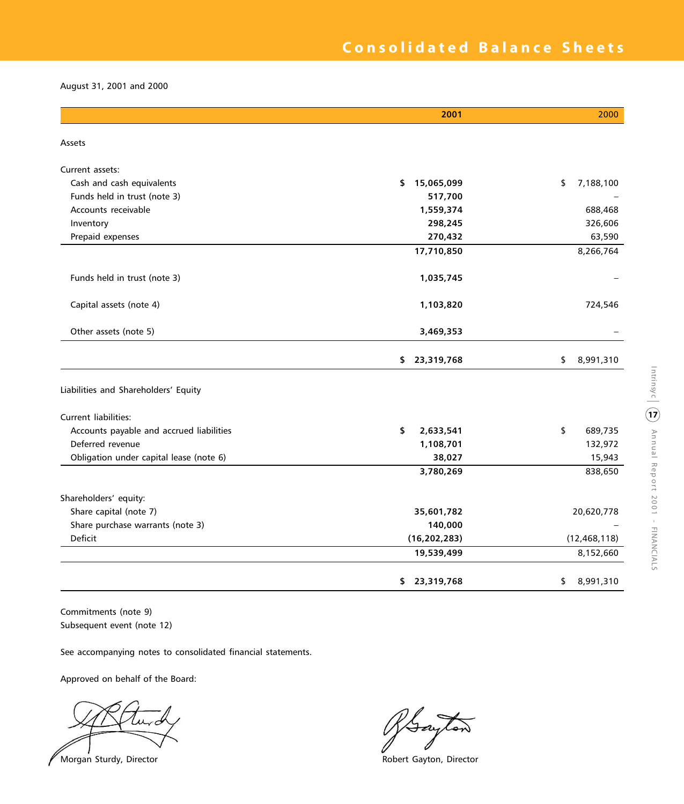August 31, 2001 and 2000

|                                          | 2001             | 2000            |
|------------------------------------------|------------------|-----------------|
| Assets                                   |                  |                 |
| Current assets:                          |                  |                 |
| Cash and cash equivalents                | \$<br>15,065,099 | \$<br>7,188,100 |
| Funds held in trust (note 3)             | 517,700          |                 |
| Accounts receivable                      | 1,559,374        | 688,468         |
| Inventory                                | 298,245          | 326,606         |
| Prepaid expenses                         | 270,432          | 63,590          |
|                                          | 17,710,850       | 8,266,764       |
| Funds held in trust (note 3)             | 1,035,745        |                 |
| Capital assets (note 4)                  | 1,103,820        | 724,546         |
| Other assets (note 5)                    | 3,469,353        |                 |
|                                          | 23,319,768<br>\$ | \$<br>8,991,310 |
| Liabilities and Shareholders' Equity     |                  |                 |
| <b>Current liabilities:</b>              |                  |                 |
| Accounts payable and accrued liabilities | \$<br>2,633,541  | 689,735<br>\$   |
| Deferred revenue                         | 1,108,701        | 132,972         |
| Obligation under capital lease (note 6)  | 38,027           | 15,943          |
|                                          | 3,780,269        | 838,650         |
| Shareholders' equity:                    |                  |                 |
| Share capital (note 7)                   | 35,601,782       | 20,620,778      |
| Share purchase warrants (note 3)         | 140,000          |                 |
| Deficit                                  | (16, 202, 283)   | (12, 468, 118)  |
|                                          | 19,539,499       | 8,152,660       |
|                                          | 23,319,768<br>\$ | 8,991,310<br>\$ |

Commitments (note 9) Subsequent event (note 12)

See accompanying notes to consolidated financial statements.

Approved on behalf of the Board:

Morgan Sturdy, Director **Morgan Sturdy, Director** Robert Gayton, Director

Iay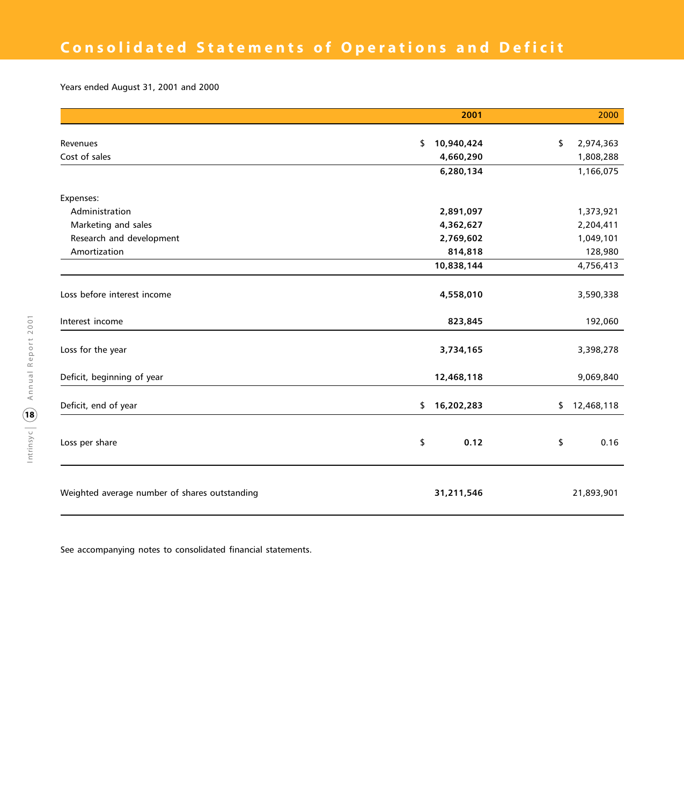Years ended August 31, 2001 and 2000

|                                               | 2001             | 2000             |
|-----------------------------------------------|------------------|------------------|
|                                               |                  |                  |
| Revenues                                      | \$<br>10,940,424 | \$<br>2,974,363  |
| Cost of sales                                 | 4,660,290        | 1,808,288        |
|                                               | 6,280,134        | 1,166,075        |
| Expenses:                                     |                  |                  |
| Administration                                | 2,891,097        | 1,373,921        |
| Marketing and sales                           | 4,362,627        | 2,204,411        |
| Research and development                      | 2,769,602        | 1,049,101        |
| Amortization                                  | 814,818          | 128,980          |
|                                               | 10,838,144       | 4,756,413        |
| Loss before interest income                   | 4,558,010        | 3,590,338        |
| Interest income                               | 823,845          | 192,060          |
| Loss for the year                             | 3,734,165        | 3,398,278        |
| Deficit, beginning of year                    | 12,468,118       | 9,069,840        |
| Deficit, end of year                          | 16,202,283<br>\$ | \$<br>12,468,118 |
| Loss per share                                | \$<br>0.12       | \$<br>0.16       |
| Weighted average number of shares outstanding | 31,211,546       | 21,893,901       |

See accompanying notes to consolidated financial statements.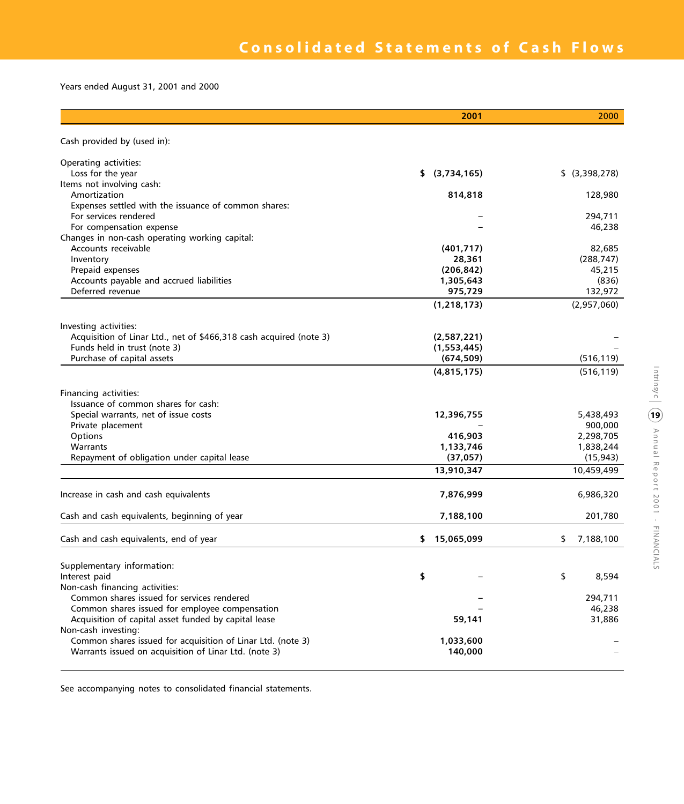Years ended August 31, 2001 and 2000

|                                                                    | 2001             | 2000            |
|--------------------------------------------------------------------|------------------|-----------------|
| Cash provided by (used in):                                        |                  |                 |
| Operating activities:                                              |                  |                 |
| Loss for the year                                                  | \$ (3,734,165)   | \$ (3,398,278)  |
| Items not involving cash:                                          |                  |                 |
| Amortization                                                       | 814,818          | 128,980         |
| Expenses settled with the issuance of common shares:               |                  |                 |
| For services rendered                                              |                  | 294,711         |
| For compensation expense                                           |                  | 46.238          |
| Changes in non-cash operating working capital:                     |                  |                 |
| Accounts receivable                                                | (401, 717)       | 82,685          |
| Inventory                                                          | 28,361           | (288, 747)      |
| Prepaid expenses                                                   | (206, 842)       | 45,215          |
| Accounts payable and accrued liabilities                           | 1,305,643        | (836)           |
| Deferred revenue                                                   | 975,729          | 132,972         |
|                                                                    | (1, 218, 173)    | (2,957,060)     |
| Investing activities:                                              |                  |                 |
| Acquisition of Linar Ltd., net of \$466,318 cash acquired (note 3) | (2,587,221)      |                 |
| Funds held in trust (note 3)                                       | (1,553,445)      |                 |
| Purchase of capital assets                                         | (674, 509)       | (516, 119)      |
|                                                                    | (4,815,175)      | (516, 119)      |
| Financing activities:                                              |                  |                 |
| Issuance of common shares for cash:                                |                  |                 |
| Special warrants, net of issue costs                               | 12,396,755       | 5,438,493       |
| Private placement                                                  |                  | 900,000         |
| Options                                                            | 416,903          | 2,298,705       |
| Warrants                                                           | 1,133,746        | 1,838,244       |
| Repayment of obligation under capital lease                        | (37, 057)        | (15, 943)       |
|                                                                    | 13,910,347       | 10,459,499      |
| Increase in cash and cash equivalents                              | 7,876,999        | 6,986,320       |
| Cash and cash equivalents, beginning of year                       | 7,188,100        | 201,780         |
| Cash and cash equivalents, end of year                             | 15,065,099<br>\$ | \$<br>7,188,100 |
| Supplementary information:                                         |                  |                 |
| Interest paid                                                      | \$               | \$<br>8,594     |
| Non-cash financing activities:                                     |                  |                 |
| Common shares issued for services rendered                         |                  | 294,711         |
| Common shares issued for employee compensation                     |                  | 46,238          |
| Acquisition of capital asset funded by capital lease               | 59,141           | 31,886          |
| Non-cash investing:                                                |                  |                 |
| Common shares issued for acquisition of Linar Ltd. (note 3)        | 1,033,600        |                 |
| Warrants issued on acquisition of Linar Ltd. (note 3)              | 140,000          |                 |
|                                                                    |                  |                 |

See accompanying notes to consolidated financial statements.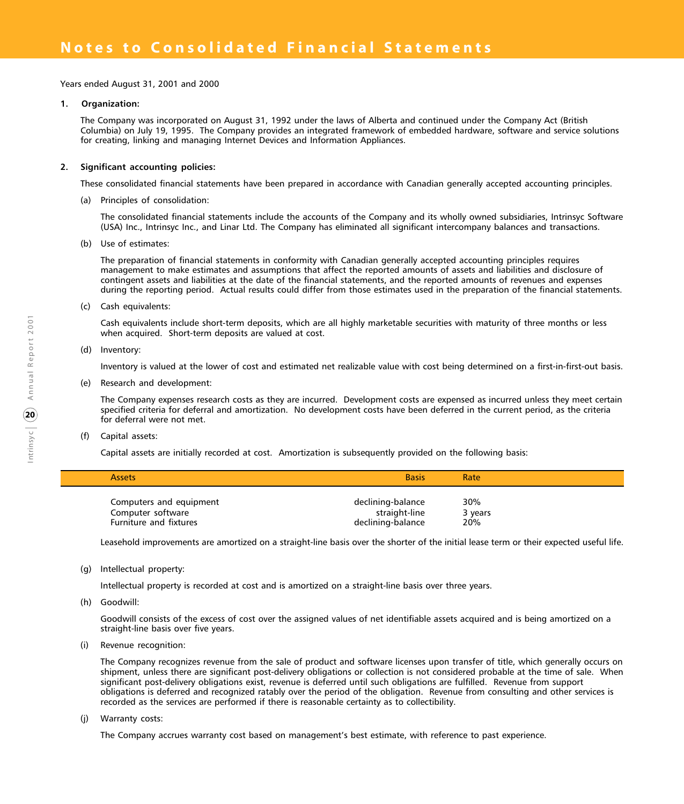Years ended August 31, 2001 and 2000

## **1. Organization:**

The Company was incorporated on August 31, 1992 under the laws of Alberta and continued under the Company Act (British Columbia) on July 19, 1995. The Company provides an integrated framework of embedded hardware, software and service solutions for creating, linking and managing Internet Devices and Information Appliances.

## **2. Significant accounting policies:**

These consolidated financial statements have been prepared in accordance with Canadian generally accepted accounting principles.

(a) Principles of consolidation:

The consolidated financial statements include the accounts of the Company and its wholly owned subsidiaries, Intrinsyc Software (USA) Inc., Intrinsyc Inc., and Linar Ltd. The Company has eliminated all significant intercompany balances and transactions.

(b) Use of estimates:

The preparation of financial statements in conformity with Canadian generally accepted accounting principles requires management to make estimates and assumptions that affect the reported amounts of assets and liabilities and disclosure of contingent assets and liabilities at the date of the financial statements, and the reported amounts of revenues and expenses during the reporting period. Actual results could differ from those estimates used in the preparation of the financial statements.

(c) Cash equivalents:

Cash equivalents include short-term deposits, which are all highly marketable securities with maturity of three months or less when acquired. Short-term deposits are valued at cost.

(d) Inventory:

Inventory is valued at the lower of cost and estimated net realizable value with cost being determined on a first-in-first-out basis.

(e) Research and development:

The Company expenses research costs as they are incurred. Development costs are expensed as incurred unless they meet certain specified criteria for deferral and amortization. No development costs have been deferred in the current period, as the criteria for deferral were not met.

(f) Capital assets:

Capital assets are initially recorded at cost. Amortization is subsequently provided on the following basis:

| <b>Assets</b>                                                          | <b>Basis</b>                                            | Rate                  |  |
|------------------------------------------------------------------------|---------------------------------------------------------|-----------------------|--|
| Computers and equipment<br>Computer software<br>Furniture and fixtures | declining-balance<br>straight-line<br>declining-balance | 30%<br>3 years<br>20% |  |

Leasehold improvements are amortized on a straight-line basis over the shorter of the initial lease term or their expected useful life.

(g) Intellectual property:

Intellectual property is recorded at cost and is amortized on a straight-line basis over three years.

(h) Goodwill:

Goodwill consists of the excess of cost over the assigned values of net identifiable assets acquired and is being amortized on a straight-line basis over five years.

(i) Revenue recognition:

The Company recognizes revenue from the sale of product and software licenses upon transfer of title, which generally occurs on shipment, unless there are significant post-delivery obligations or collection is not considered probable at the time of sale. When significant post-delivery obligations exist, revenue is deferred until such obligations are fulfilled. Revenue from support obligations is deferred and recognized ratably over the period of the obligation. Revenue from consulting and other services is recorded as the services are performed if there is reasonable certainty as to collectibility.

(j) Warranty costs:

The Company accrues warranty cost based on management's best estimate, with reference to past experience.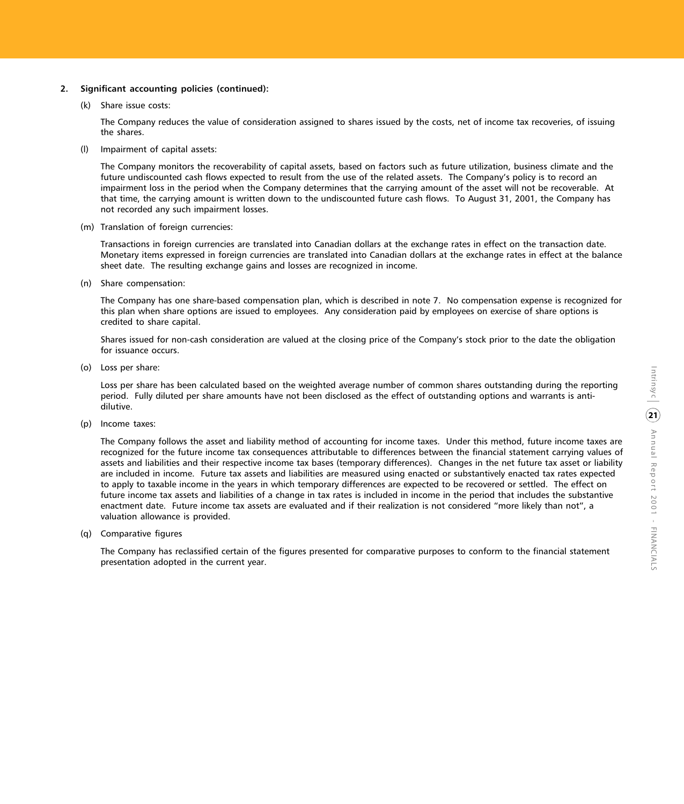## **2. Significant accounting policies (continued):**

(k) Share issue costs:

The Company reduces the value of consideration assigned to shares issued by the costs, net of income tax recoveries, of issuing the shares.

(l) Impairment of capital assets:

The Company monitors the recoverability of capital assets, based on factors such as future utilization, business climate and the future undiscounted cash flows expected to result from the use of the related assets. The Company's policy is to record an impairment loss in the period when the Company determines that the carrying amount of the asset will not be recoverable. At that time, the carrying amount is written down to the undiscounted future cash flows. To August 31, 2001, the Company has not recorded any such impairment losses.

(m) Translation of foreign currencies:

Transactions in foreign currencies are translated into Canadian dollars at the exchange rates in effect on the transaction date. Monetary items expressed in foreign currencies are translated into Canadian dollars at the exchange rates in effect at the balance sheet date. The resulting exchange gains and losses are recognized in income.

(n) Share compensation:

The Company has one share-based compensation plan, which is described in note 7. No compensation expense is recognized for this plan when share options are issued to employees. Any consideration paid by employees on exercise of share options is credited to share capital.

Shares issued for non-cash consideration are valued at the closing price of the Company's stock prior to the date the obligation for issuance occurs.

(o) Loss per share:

Loss per share has been calculated based on the weighted average number of common shares outstanding during the reporting period. Fully diluted per share amounts have not been disclosed as the effect of outstanding options and warrants is antidilutive.

(p) Income taxes:

The Company follows the asset and liability method of accounting for income taxes. Under this method, future income taxes are recognized for the future income tax consequences attributable to differences between the financial statement carrying values of assets and liabilities and their respective income tax bases (temporary differences). Changes in the net future tax asset or liability are included in income. Future tax assets and liabilities are measured using enacted or substantively enacted tax rates expected to apply to taxable income in the years in which temporary differences are expected to be recovered or settled. The effect on future income tax assets and liabilities of a change in tax rates is included in income in the period that includes the substantive enactment date. Future income tax assets are evaluated and if their realization is not considered "more likely than not", a valuation allowance is provided.

(q) Comparative figures

The Company has reclassified certain of the figures presented for comparative purposes to conform to the financial statement presentation adopted in the current year.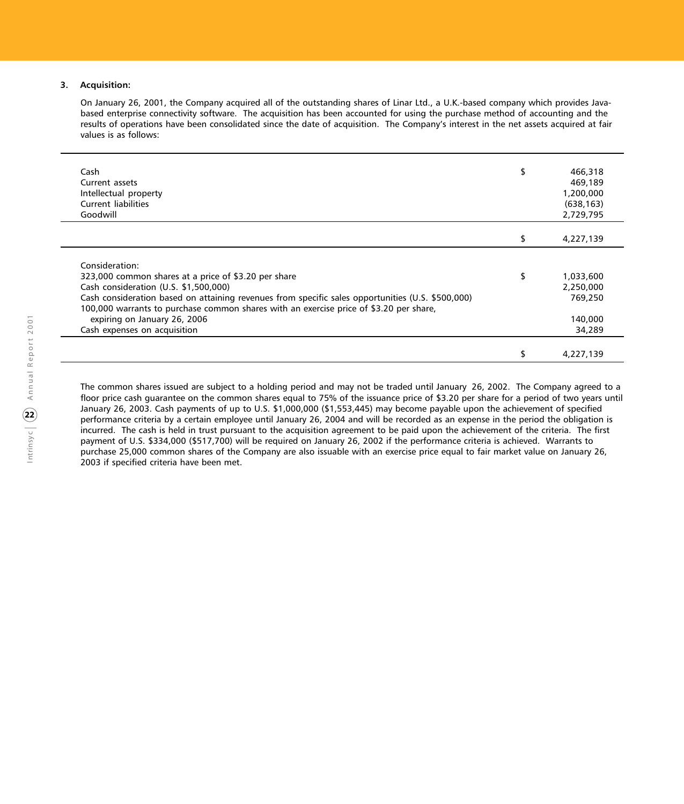#### **3. Acquisition:**

On January 26, 2001, the Company acquired all of the outstanding shares of Linar Ltd., a U.K.-based company which provides Javabased enterprise connectivity software. The acquisition has been accounted for using the purchase method of accounting and the results of operations have been consolidated since the date of acquisition. The Company's interest in the net assets acquired at fair values is as follows:

| Cash                                                                                              | \$<br>466,318   |
|---------------------------------------------------------------------------------------------------|-----------------|
| Current assets                                                                                    | 469,189         |
| Intellectual property                                                                             | 1,200,000       |
| Current liabilities                                                                               | (638, 163)      |
| Goodwill                                                                                          | 2,729,795       |
|                                                                                                   |                 |
|                                                                                                   | 4,227,139       |
|                                                                                                   |                 |
| Consideration:                                                                                    |                 |
| 323,000 common shares at a price of \$3.20 per share                                              | \$<br>1,033,600 |
| Cash consideration (U.S. \$1,500,000)                                                             | 2,250,000       |
| Cash consideration based on attaining revenues from specific sales opportunities (U.S. \$500,000) | 769.250         |
| 100,000 warrants to purchase common shares with an exercise price of \$3.20 per share,            |                 |
| expiring on January 26, 2006                                                                      | 140,000         |
| Cash expenses on acquisition                                                                      | 34,289          |
|                                                                                                   |                 |
|                                                                                                   | 4,227,139       |

The common shares issued are subject to a holding period and may not be traded until January 26, 2002. The Company agreed to a floor price cash guarantee on the common shares equal to 75% of the issuance price of \$3.20 per share for a period of two years until January 26, 2003. Cash payments of up to U.S. \$1,000,000 (\$1,553,445) may become payable upon the achievement of specified performance criteria by a certain employee until January 26, 2004 and will be recorded as an expense in the period the obligation is incurred. The cash is held in trust pursuant to the acquisition agreement to be paid upon the achievement of the criteria. The first payment of U.S. \$334,000 (\$517,700) will be required on January 26, 2002 if the performance criteria is achieved. Warrants to purchase 25,000 common shares of the Company are also issuable with an exercise price equal to fair market value on January 26, 2003 if specified criteria have been met.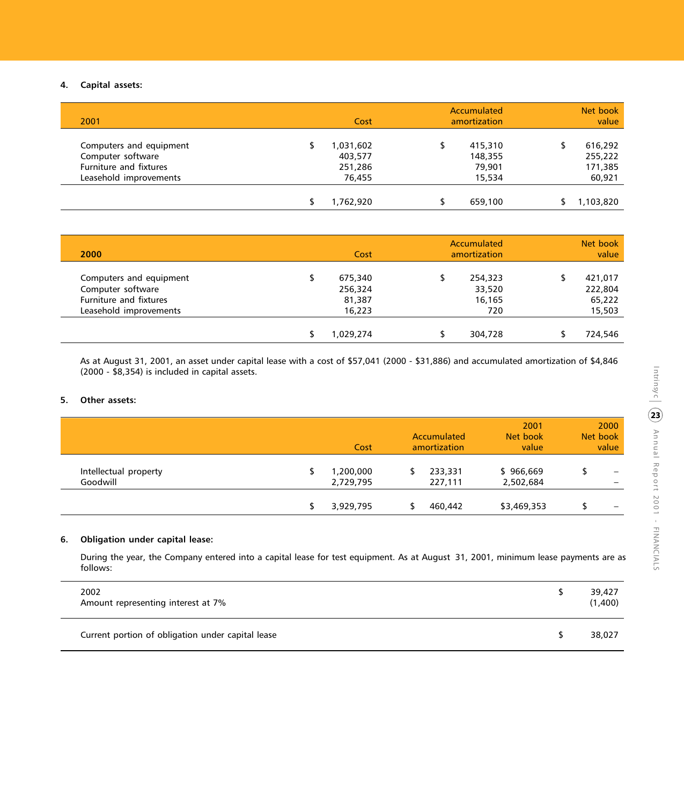# **4. Capital assets:**

| 2001                                                                                             |                                 | Cost   | Accumulated<br>amortization            | Net book<br>value                       |
|--------------------------------------------------------------------------------------------------|---------------------------------|--------|----------------------------------------|-----------------------------------------|
| Computers and equipment<br>Computer software<br>Furniture and fixtures<br>Leasehold improvements | 1,031,602<br>403,577<br>251,286 | 76.455 | 415,310<br>148,355<br>79,901<br>15,534 | 616,292<br>255,222<br>171,385<br>60,921 |
|                                                                                                  | 1,762,920                       |        | 659,100                                | 1,103,820                               |

| 2000                                                                                             | Cost                                   | Accumulated<br>amortization        | Net book<br>value                      |
|--------------------------------------------------------------------------------------------------|----------------------------------------|------------------------------------|----------------------------------------|
| Computers and equipment<br>Computer software<br>Furniture and fixtures<br>Leasehold improvements | 675,340<br>256,324<br>81,387<br>16,223 | 254,323<br>33,520<br>16,165<br>720 | 421,017<br>222,804<br>65,222<br>15,503 |
|                                                                                                  | 1,029,274                              | 304,728                            | 724,546                                |

As at August 31, 2001, an asset under capital lease with a cost of \$57,041 (2000 - \$31,886) and accumulated amortization of \$4,846 (2000 - \$8,354) is included in capital assets.

# **5. Other assets:**

|                       | Cost      | Accumulated<br>amortization | 2001<br>Net book<br>value | 2000<br>Net book<br>value |
|-----------------------|-----------|-----------------------------|---------------------------|---------------------------|
| Intellectual property | 1,200,000 | 233,331                     | \$966,669                 | $\overline{\phantom{a}}$  |
| Goodwill              | 2,729,795 | 227,111                     | 2,502,684                 | $\overline{\phantom{0}}$  |
|                       | 3,929,795 | 460,442                     | \$3,469,353               |                           |

# **6. Obligation under capital lease:**

During the year, the Company entered into a capital lease for test equipment. As at August 31, 2001, minimum lease payments are as follows:

| 2002<br>Amount representing interest at 7%        | 39,427<br>(1,400) |
|---------------------------------------------------|-------------------|
| Current portion of obligation under capital lease | 38,027            |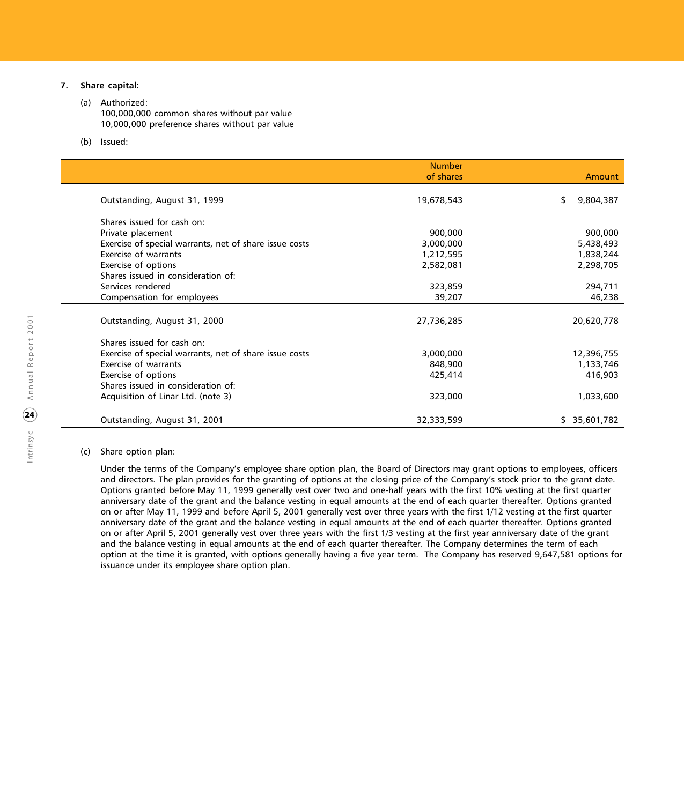# **7. Share capital:**

## (a) Authorized:

- 100,000,000 common shares without par value 10,000,000 preference shares without par value
- (b) Issued:

|                                                        | <b>Number</b><br>of shares | Amount          |
|--------------------------------------------------------|----------------------------|-----------------|
| Outstanding, August 31, 1999                           | 19,678,543                 | 9,804,387<br>\$ |
|                                                        |                            |                 |
| Shares issued for cash on:                             |                            |                 |
| Private placement                                      | 900,000                    | 900,000         |
| Exercise of special warrants, net of share issue costs | 3,000,000                  | 5,438,493       |
| <b>Exercise of warrants</b>                            | 1,212,595                  | 1,838,244       |
| Exercise of options                                    | 2,582,081                  | 2,298,705       |
| Shares issued in consideration of:                     |                            |                 |
| Services rendered                                      | 323,859                    | 294,711         |
| Compensation for employees                             | 39,207                     | 46,238          |
|                                                        |                            |                 |
| Outstanding, August 31, 2000                           | 27,736,285                 | 20,620,778      |
| Shares issued for cash on:                             |                            |                 |
| Exercise of special warrants, net of share issue costs | 3,000,000                  | 12,396,755      |
| Exercise of warrants                                   | 848,900                    | 1,133,746       |
| Exercise of options                                    | 425,414                    | 416,903         |
| Shares issued in consideration of:                     |                            |                 |
| Acquisition of Linar Ltd. (note 3)                     | 323,000                    | 1,033,600       |
|                                                        |                            |                 |
| Outstanding, August 31, 2001                           | 32,333,599                 | \$35,601,782    |

### (c) Share option plan:

Under the terms of the Company's employee share option plan, the Board of Directors may grant options to employees, officers and directors. The plan provides for the granting of options at the closing price of the Company's stock prior to the grant date. Options granted before May 11, 1999 generally vest over two and one-half years with the first 10% vesting at the first quarter anniversary date of the grant and the balance vesting in equal amounts at the end of each quarter thereafter. Options granted on or after May 11, 1999 and before April 5, 2001 generally vest over three years with the first 1/12 vesting at the first quarter anniversary date of the grant and the balance vesting in equal amounts at the end of each quarter thereafter. Options granted on or after April 5, 2001 generally vest over three years with the first 1/3 vesting at the first year anniversary date of the grant and the balance vesting in equal amounts at the end of each quarter thereafter. The Company determines the term of each option at the time it is granted, with options generally having a five year term. The Company has reserved 9,647,581 options for issuance under its employee share option plan.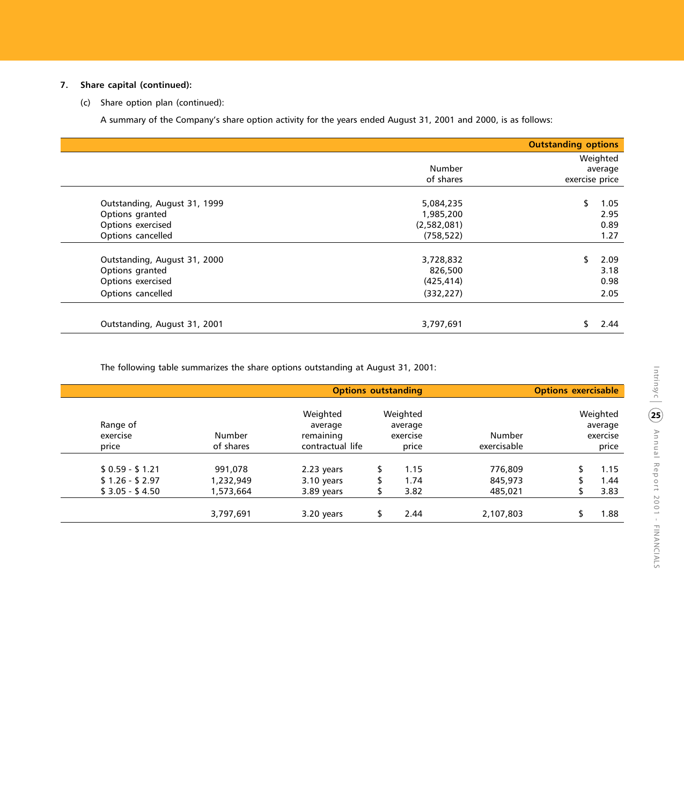# **7. Share capital (continued):**

(c) Share option plan (continued):

A summary of the Company's share option activity for the years ended August 31, 2001 and 2000, is as follows:

|                              |             | <b>Outstanding options</b> |          |
|------------------------------|-------------|----------------------------|----------|
|                              |             |                            | Weighted |
|                              | Number      |                            | average  |
|                              | of shares   | exercise price             |          |
| Outstanding, August 31, 1999 | 5,084,235   |                            | 1.05     |
| Options granted              | 1,985,200   |                            | 2.95     |
| Options exercised            | (2,582,081) |                            | 0.89     |
| Options cancelled            | (758, 522)  |                            | 1.27     |
| Outstanding, August 31, 2000 | 3,728,832   |                            | 2.09     |
| Options granted              | 826,500     |                            | 3.18     |
| Options exercised            | (425, 414)  |                            | 0.98     |
| Options cancelled            | (332, 227)  |                            | 2.05     |
| Outstanding, August 31, 2001 | 3,797,691   |                            | 2.44     |

The following table summarizes the share options outstanding at August 31, 2001:

|                      |           | <b>Options outstanding</b>       |                                 |             | <b>Options exercisable</b> |                                 |
|----------------------|-----------|----------------------------------|---------------------------------|-------------|----------------------------|---------------------------------|
| Range of<br>exercise | Number    | Weighted<br>average<br>remaining | Weighted<br>average<br>exercise | Number      |                            | Weighted<br>average<br>exercise |
| price                | of shares | contractual life                 | price                           | exercisable |                            | price                           |
| $$0.59 - $1.21$      | 991,078   | 2.23 years                       | 1.15                            | 776,809     |                            | 1.15                            |
| $$1.26 - $2.97$      | 1,232,949 | 3.10 years                       | 1.74                            | 845,973     |                            | 1.44                            |
| $$3.05 - $4.50$      | 1,573,664 | 3.89 years                       | 3.82                            | 485,021     |                            | 3.83                            |
|                      | 3,797,691 | 3.20 years                       | 2.44                            | 2,107,803   |                            | 1.88                            |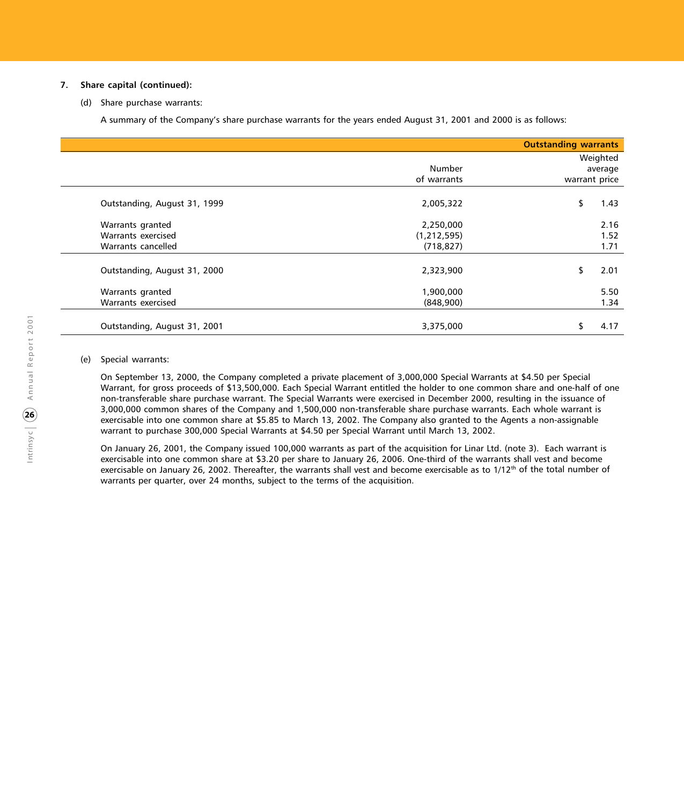## **7. Share capital (continued):**

(d) Share purchase warrants:

A summary of the Company's share purchase warrants for the years ended August 31, 2001 and 2000 is as follows:

|                                                              |                                          | <b>Outstanding warrants</b>          |
|--------------------------------------------------------------|------------------------------------------|--------------------------------------|
|                                                              | Number<br>of warrants                    | Weighted<br>average<br>warrant price |
| Outstanding, August 31, 1999                                 | 2,005,322                                | \$<br>1.43                           |
| Warrants granted<br>Warrants exercised<br>Warrants cancelled | 2,250,000<br>(1, 212, 595)<br>(718, 827) | 2.16<br>1.52<br>1.71                 |
| Outstanding, August 31, 2000                                 | 2,323,900                                | 2.01<br>\$                           |
| Warrants granted<br>Warrants exercised                       | 1,900,000<br>(848,900)                   | 5.50<br>1.34                         |
| Outstanding, August 31, 2001                                 | 3,375,000                                | 4.17<br>S                            |

#### (e) Special warrants:

On September 13, 2000, the Company completed a private placement of 3,000,000 Special Warrants at \$4.50 per Special Warrant, for gross proceeds of \$13,500,000. Each Special Warrant entitled the holder to one common share and one-half of one non-transferable share purchase warrant. The Special Warrants were exercised in December 2000, resulting in the issuance of 3,000,000 common shares of the Company and 1,500,000 non-transferable share purchase warrants. Each whole warrant is exercisable into one common share at \$5.85 to March 13, 2002. The Company also granted to the Agents a non-assignable warrant to purchase 300,000 Special Warrants at \$4.50 per Special Warrant until March 13, 2002.

On January 26, 2001, the Company issued 100,000 warrants as part of the acquisition for Linar Ltd. (note 3). Each warrant is exercisable into one common share at \$3.20 per share to January 26, 2006. One-third of the warrants shall vest and become exercisable on January 26, 2002. Thereafter, the warrants shall vest and become exercisable as to  $1/12<sup>th</sup>$  of the total number of warrants per quarter, over 24 months, subject to the terms of the acquisition.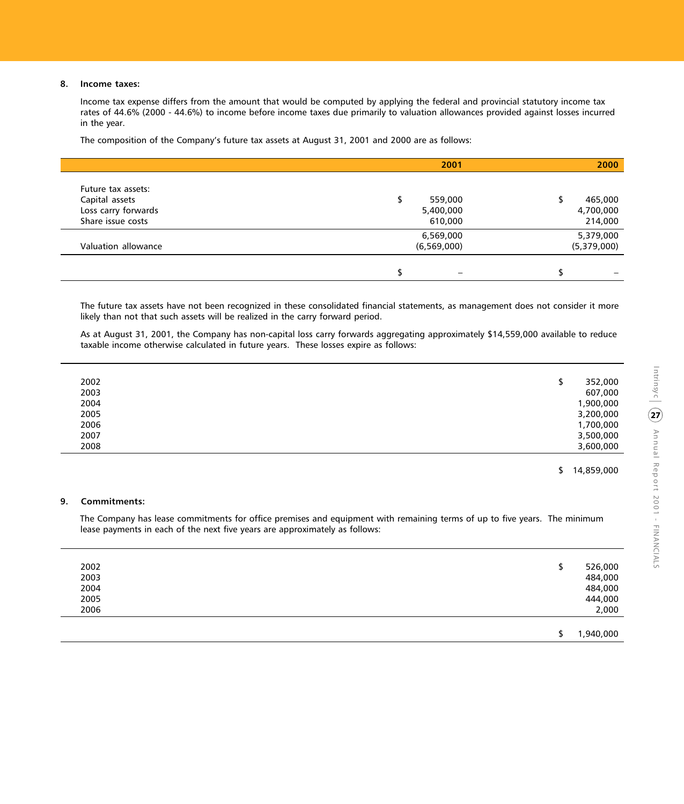# **8. Income taxes:**

Income tax expense differs from the amount that would be computed by applying the federal and provincial statutory income tax rates of 44.6% (2000 - 44.6%) to income before income taxes due primarily to valuation allowances provided against losses incurred in the year.

The composition of the Company's future tax assets at August 31, 2001 and 2000 are as follows:

|                                                                                  | 2001                            | 2000                            |
|----------------------------------------------------------------------------------|---------------------------------|---------------------------------|
| Future tax assets:<br>Capital assets<br>Loss carry forwards<br>Share issue costs | 559,000<br>5,400,000<br>610,000 | 465,000<br>4,700,000<br>214,000 |
| Valuation allowance                                                              | 6,569,000<br>(6, 569, 000)      | 5,379,000<br>(5,379,000)        |
|                                                                                  |                                 |                                 |

The future tax assets have not been recognized in these consolidated financial statements, as management does not consider it more likely than not that such assets will be realized in the carry forward period.

As at August 31, 2001, the Company has non-capital loss carry forwards aggregating approximately \$14,559,000 available to reduce taxable income otherwise calculated in future years. These losses expire as follows:

| 2002<br>2003<br>2004<br>2005<br>2006<br>2007 | 352,000<br>607,000<br>1,900,000<br>3,200,000<br>1,700,000<br>3,500,000 |
|----------------------------------------------|------------------------------------------------------------------------|
| 2008                                         | 3,600,000                                                              |

\$ 14,859,000

# **9. Commitments:**

The Company has lease commitments for office premises and equipment with remaining terms of up to five years. The minimum lease payments in each of the next five years are approximately as follows:

|      | 1,940,000<br>c |  |
|------|----------------|--|
| 2006 | 2,000          |  |
| 2005 | 444,000        |  |
| 2004 | 484,000        |  |
| 2003 | 484,000        |  |
| 2002 | 526,000<br>⊅   |  |
|      |                |  |